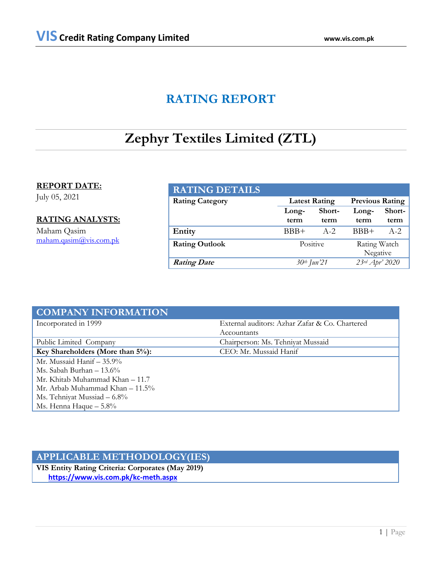## **RATING REPORT**

# **Zephyr Textiles Limited (ZTL)**

### **REPORT DATE:**

July 05, 2021

### **RATING ANALYSTS:**

Maham Qasim [maham.qasim@vis.com.pk](mailto:maham.qasim@vis.com.pk)

| <b>RATING DETAILS</b>  |                                                |         |                |        |  |
|------------------------|------------------------------------------------|---------|----------------|--------|--|
| <b>Rating Category</b> | <b>Previous Rating</b><br><b>Latest Rating</b> |         |                |        |  |
|                        | Long-                                          | Short-  | Long-          | Short- |  |
|                        | term                                           | term    | term           | term   |  |
| Entity                 | $BBB+$                                         | $A - 2$ | $BBB+$         | $A-2$  |  |
| <b>Rating Outlook</b>  | Positive                                       |         | Rating Watch   |        |  |
|                        |                                                |         | Negative       |        |  |
| <b>Rating Date</b>     | 30th Jun'21                                    |         | 23rd Apr' 2020 |        |  |

| <b>COMPANY INFORMATION</b>           |                                                |
|--------------------------------------|------------------------------------------------|
| Incorporated in 1999                 | External auditors: Azhar Zafar & Co. Chartered |
|                                      | Accountants                                    |
| Public Limited Company               | Chairperson: Ms. Tehniyat Mussaid              |
| Key Shareholders (More than $5\%$ ): | CEO: Mr. Mussaid Hanif                         |
| Mr. Mussaid Hanif $-35.9\%$          |                                                |
| Ms. Sabah Burhan $-13.6\%$           |                                                |
| Mr. Khitab Muhammad Khan – 11.7      |                                                |
| Mr. Arbab Muhammad Khan $-11.5\%$    |                                                |
| Ms. Tehniyat Mussiad $-6.8\%$        |                                                |
| Ms. Henna Haque $-5.8\%$             |                                                |

## **APPLICABLE METHODOLOGY(IES)**

**VIS Entity Rating Criteria: Corporates (May 2019)** **<https://www.vis.com.pk/kc-meth.aspx>**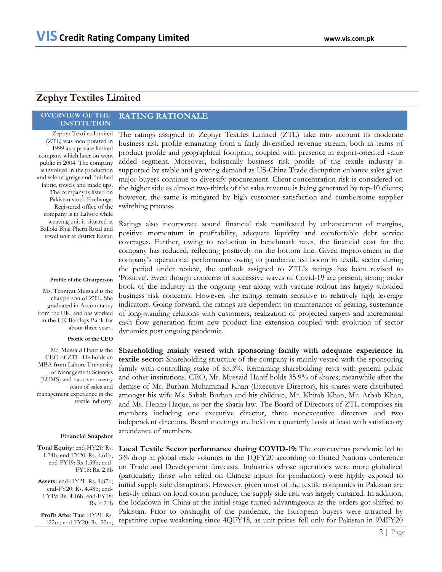## **Zephyr Textiles Limited**

#### **OVERVIEW OF THE INSTITUTION RATING RATIONALE**

Zephyr Textiles Limited (ZTL) was incorporated in 1999 as a private limited company which later on went public in 2004. The company is involved in the production and sale of greige and finished fabric, towels and made ups. The company is listed on Pakistan stock Exchange. Registered office of the company is in Lahore while weaving unit is situated at Balloki Bhai Pheru Road and towel unit at district Kasur.

#### **Profile of the Chairperson**

Ms. Tehniyat Mussaid is the chairperson of ZTL. She graduated in Accountancy from the UK, and has worked in the UK Barclays Bank for about three years.

#### **Profile of the CEO**

Mr. Mussaid Hanif is the CEO of ZTL. He holds an MBA from Lahore University of Management Sciences (LUMS) and has over twenty years of sales and management experience in the textile industry.

#### **Financial Snapshot**

**Total Equity:** end-HY21: Rs. 1.74b; end-FY20: Rs. 1.61b; end-FY19: Rs.1.59b; end-FY18: Rs. 2.8b

**Assets:** end-HY21: Rs. 4.87b; end-FY20: Rs. 4.48b; end-FY19: Rs. 4.16b; end-FY18: Rs. 4.21b

**Profit After Tax**: HY21: Rs. 122m; end-FY20: Rs. 55m; The ratings assigned to Zephyr Textiles Limited (ZTL) take into account its moderate business risk profile emanating from a fairly diversified revenue stream, both in terms of product profile and geographical footprint, coupled with presence in export-oriented value added segment. Moreover, holistically business risk profile of the textile industry is supported by stable and growing demand as US-China Trade disruption enhance sales given major buyers continue to diversify procurement. Client concentration risk is considered on the higher side as almost two-thirds of the sales revenue is being generated by top-10 clients; however, the same is mitigated by high customer satisfaction and cumbersome supplier switching process.

Ratings also incorporate sound financial risk manifested by enhancement of margins, positive momentum in profitability, adequate liquidity and comfortable debt service coverages. Further, owing to reduction in benchmark rates, the financial cost for the company has reduced, reflecting positively on the bottom line. Given improvement in the company's operational performance owing to pandemic led boom in textile sector during the period under review, the outlook assigned to ZTL's ratings has been revised to 'Positive'. Even though concerns of successive waves of Covid-19 are present, strong order book of the industry in the ongoing year along with vaccine rollout has largely subsided business risk concerns. However, the ratings remain sensitive to relatively high leverage indicators. Going forward, the ratings are dependent on maintenance of gearing, sustenance of long-standing relations with customers, realization of projected targets and incremental cash flow generation from new product line extension coupled with evolution of sector dynamics post ongoing pandemic.

**Shareholding mainly vested with sponsoring family with adequate experience in textile sector:** Shareholding structure of the company is mainly vested with the sponsoring family with controlling stake of 85.3%. Remaining shareholding rests with general public and other institutions. CEO, Mr. Mussaid Hanif holds 35.9% of shares; meanwhile after the demise of Mr. Burhan Muhammad Khan (Executive Director), his shares were distributed amongst his wife Ms. Sabah Burhan and his children, Mr. Khitab Khan, Mr. Arbab Khan, and Ms. Henna Haque, as per the sharia law. The Board of Directors of ZTL comprises six members including one executive director, three nonexecutive directors and two independent directors. Board meetings are held on a quarterly basis at least with satisfactory attendance of members.

**Local Textile Sector performance during COVID-19:** The coronavirus pandemic led to 3% drop in global trade volumes in the 1QFY20 according to United Nations conference on Trade and Development forecasts. Industries whose operations were more globalized (particularly those who relied on Chinese inputs for production) were highly exposed to initial supply side disruptions. However, given most of the textile companies in Pakistan are heavily reliant on local cotton produce; the supply side risk was largely curtailed. In addition, the lockdown in China at the initial stage turned advantageous as the orders got shifted to Pakistan. Prior to onslaught of the pandemic, the European buyers were attracted by repetitive rupee weakening since 4QFY18, as unit prices fell only for Pakistan in 9MFY20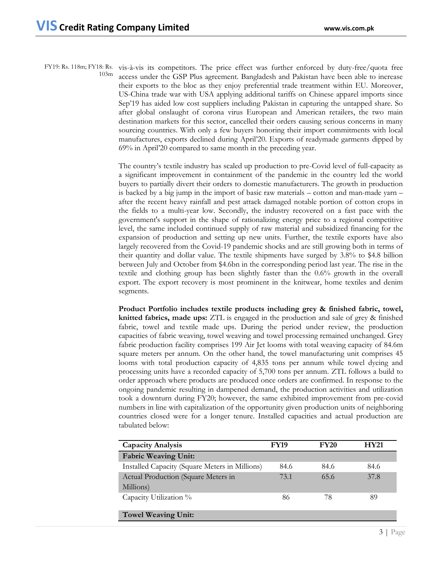FY19: Rs. 118m; FY18: Rs. vis-à-vis its competitors. The price effect was further enforced by duty-free/quota free 103m access under the GSP Plus agreement. Bangladesh and Pakistan have been able to increase their exports to the bloc as they enjoy preferential trade treatment within EU. Moreover, US-China trade war with USA applying additional tariffs on Chinese apparel imports since Sep'19 has aided low cost suppliers including Pakistan in capturing the untapped share. So after global onslaught of corona virus European and American retailers, the two main destination markets for this sector, cancelled their orders causing serious concerns in many sourcing countries. With only a few buyers honoring their import commitments with local manufactures, exports declined during April'20. Exports of readymade garments dipped by 69% in April'20 compared to same month in the preceding year.

> The country's textile industry has scaled up production to pre-Covid level of full-capacity as a significant improvement in containment of the pandemic in the country led the world buyers to partially divert their orders to domestic manufacturers. The growth in production is backed by a big jump in the import of basic raw materials – cotton and man-made yarn – after the recent heavy rainfall and pest attack damaged notable portion of cotton crops in the fields to a multi-year low. Secondly, the industry recovered on a fast pace with the government's support in the shape of rationalizing energy price to a regional competitive level, the same included continued supply of raw material and subsidized financing for the expansion of production and setting up new units. Further, the textile exports have also largely recovered from the Covid-19 pandemic shocks and are still growing both in terms of their quantity and dollar value. The textile shipments have surged by 3.8% to \$4.8 billion between July and October from \$4.6bn in the corresponding period last year. The rise in the textile and clothing group has been slightly faster than the 0.6% growth in the overall export. The export recovery is most prominent in the knitwear, home textiles and denim segments.

> **Product Portfolio includes textile products including grey & finished fabric, towel, knitted fabrics, made ups:** ZTL is engaged in the production and sale of grey & finished fabric, towel and textile made ups. During the period under review, the production capacities of fabric weaving, towel weaving and towel processing remained unchanged. Grey fabric production facility comprises 199 Air Jet looms with total weaving capacity of 84.6m square meters per annum. On the other hand, the towel manufacturing unit comprises 45 looms with total production capacity of 4,835 tons per annum while towel dyeing and processing units have a recorded capacity of 5,700 tons per annum. ZTL follows a build to order approach where products are produced once orders are confirmed. In response to the ongoing pandemic resulting in dampened demand, the production activities and utilization took a downturn during FY20; however, the same exhibited improvement from pre-covid numbers in line with capitalization of the opportunity given production units of neighboring countries closed were for a longer tenure. Installed capacities and actual production are tabulated below:

| <b>Capacity Analysis</b>                       | <b>FY19</b> | <b>FY20</b> | HY21 |
|------------------------------------------------|-------------|-------------|------|
| <b>Fabric Weaving Unit:</b>                    |             |             |      |
| Installed Capacity (Square Meters in Millions) | 84.6        | 84.6        | 84.6 |
| Actual Production (Square Meters in            | 73.1        | 65.6        | 37.8 |
| Millions)                                      |             |             |      |
| Capacity Utilization %                         | 86          | 78          | 89   |
|                                                |             |             |      |
| <b>Towel Weaving Unit:</b>                     |             |             |      |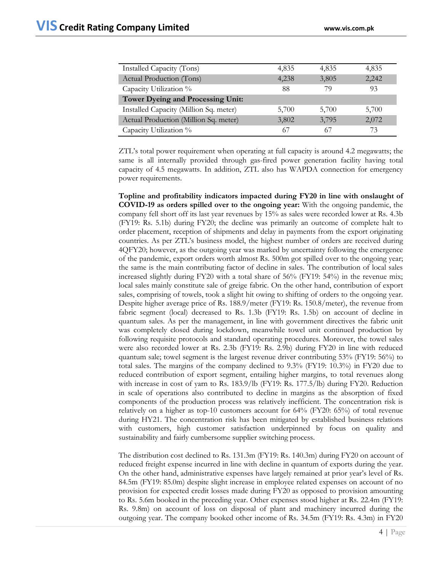| Installed Capacity (Tons)                | 4,835 | 4,835 | 4,835 |  |
|------------------------------------------|-------|-------|-------|--|
| Actual Production (Tons)                 | 4.238 | 3,805 | 2,242 |  |
| Capacity Utilization %                   | 88    | 79    | 93    |  |
| <b>Tower Dyeing and Processing Unit:</b> |       |       |       |  |
| Installed Capacity (Million Sq. meter)   | 5,700 | 5,700 | 5,700 |  |
| Actual Production (Million Sq. meter)    | 3,802 | 3,795 | 2,072 |  |
| Capacity Utilization %                   | 67    | 67    | 73    |  |

ZTL's total power requirement when operating at full capacity is around 4.2 megawatts; the same is all internally provided through gas-fired power generation facility having total capacity of 4.5 megawatts. In addition, ZTL also has WAPDA connection for emergency power requirements.

**Topline and profitability indicators impacted during FY20 in line with onslaught of COVID-19 as orders spilled over to the ongoing year:** With the ongoing pandemic, the company fell short off its last year revenues by 15% as sales were recorded lower at Rs. 4.3b (FY19: Rs. 5.1b) during FY20; the decline was primarily an outcome of complete halt to order placement, reception of shipments and delay in payments from the export originating countries. As per ZTL's business model, the highest number of orders are received during 4QFY20; however, as the outgoing year was marked by uncertainty following the emergence of the pandemic, export orders worth almost Rs. 500m got spilled over to the ongoing year; the same is the main contributing factor of decline in sales. The contribution of local sales increased slightly during FY20 with a total share of 56% (FY19: 54%) in the revenue mix; local sales mainly constitute sale of greige fabric. On the other hand, contribution of export sales, comprising of towels, took a slight hit owing to shifting of orders to the ongoing year. Despite higher average price of Rs. 188.9/meter (FY19: Rs. 150.8/meter), the revenue from fabric segment (local) decreased to Rs. 1.3b (FY19: Rs. 1.5b) on account of decline in quantum sales. As per the management, in line with government directives the fabric unit was completely closed during lockdown, meanwhile towel unit continued production by following requisite protocols and standard operating procedures. Moreover, the towel sales were also recorded lower at Rs. 2.3b (FY19: Rs. 2.9b) during FY20 in line with reduced quantum sale; towel segment is the largest revenue driver contributing 53% (FY19: 56%) to total sales. The margins of the company declined to 9.3% (FY19: 10.3%) in FY20 due to reduced contribution of export segment, entailing higher margins, to total revenues along with increase in cost of yarn to Rs. 183.9/lb (FY19: Rs. 177.5/lb) during FY20. Reduction in scale of operations also contributed to decline in margins as the absorption of fixed components of the production process was relatively inefficient. The concentration risk is relatively on a higher as top-10 customers account for 64% (FY20: 65%) of total revenue during HY21. The concentration risk has been mitigated by established business relations with customers, high customer satisfaction underpinned by focus on quality and sustainability and fairly cumbersome supplier switching process.

The distribution cost declined to Rs. 131.3m (FY19: Rs. 140.3m) during FY20 on account of reduced freight expense incurred in line with decline in quantum of exports during the year. On the other hand, administrative expenses have largely remained at prior year's level of Rs. 84.5m (FY19: 85.0m) despite slight increase in employee related expenses on account of no provision for expected credit losses made during FY20 as opposed to provision amounting to Rs. 5.6m booked in the preceding year. Other expenses stood higher at Rs. 22.4m (FY19: Rs. 9.8m) on account of loss on disposal of plant and machinery incurred during the outgoing year. The company booked other income of Rs. 34.5m (FY19: Rs. 4.3m) in FY20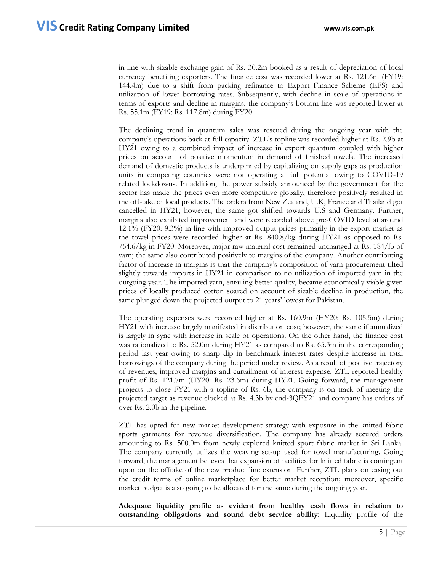in line with sizable exchange gain of Rs. 30.2m booked as a result of depreciation of local currency benefiting exporters. The finance cost was recorded lower at Rs. 121.6m (FY19: 144.4m) due to a shift from packing refinance to Export Finance Scheme (EFS) and utilization of lower borrowing rates. Subsequently, with decline in scale of operations in terms of exports and decline in margins, the company's bottom line was reported lower at Rs. 55.1m (FY19: Rs. 117.8m) during FY20.

The declining trend in quantum sales was rescued during the ongoing year with the company's operations back at full capacity. ZTL's topline was recorded higher at Rs. 2.9b at HY21 owing to a combined impact of increase in export quantum coupled with higher prices on account of positive momentum in demand of finished towels. The increased demand of domestic products is underpinned by capitalizing on supply gaps as production units in competing countries were not operating at full potential owing to COVID-19 related lockdowns. In addition, the power subsidy announced by the government for the sector has made the prices even more competitive globally, therefore positively resulted in the off-take of local products. The orders from New Zealand, U.K, France and Thailand got cancelled in HY21; however, the same got shifted towards U.S and Germany. Further, margins also exhibited improvement and were recorded above pre-COVID level at around 12.1% (FY20: 9.3%) in line with improved output prices primarily in the export market as the towel prices were recorded higher at Rs. 840.8/kg during HY21 as opposed to Rs. 764.6/kg in FY20. Moreover, major raw material cost remained unchanged at Rs. 184/lb of yarn; the same also contributed positively to margins of the company. Another contributing factor of increase in margins is that the company's composition of yarn procurement tilted slightly towards imports in HY21 in comparison to no utilization of imported yarn in the outgoing year. The imported yarn, entailing better quality, became economically viable given prices of locally produced cotton soared on account of sizable decline in production, the same plunged down the projected output to 21 years' lowest for Pakistan.

The operating expenses were recorded higher at Rs. 160.9m (HY20: Rs. 105.5m) during HY21 with increase largely manifested in distribution cost; however, the same if annualized is largely in sync with increase in scale of operations. On the other hand, the finance cost was rationalized to Rs. 52.0m during HY21 as compared to Rs. 65.3m in the corresponding period last year owing to sharp dip in benchmark interest rates despite increase in total borrowings of the company during the period under review. As a result of positive trajectory of revenues, improved margins and curtailment of interest expense, ZTL reported healthy profit of Rs. 121.7m (HY20: Rs. 23.6m) during HY21. Going forward, the management projects to close FY21 with a topline of Rs. 6b; the company is on track of meeting the projected target as revenue clocked at Rs. 4.3b by end-3QFY21 and company has orders of over Rs. 2.0b in the pipeline.

ZTL has opted for new market development strategy with exposure in the knitted fabric sports garments for revenue diversification. The company has already secured orders amounting to Rs. 500.0m from newly explored knitted sport fabric market in Sri Lanka. The company currently utilizes the weaving set-up used for towel manufacturing. Going forward, the management believes that expansion of facilities for knitted fabric is contingent upon on the offtake of the new product line extension. Further, ZTL plans on easing out the credit terms of online marketplace for better market reception; moreover, specific market budget is also going to be allocated for the same during the ongoing year.

**Adequate liquidity profile as evident from healthy cash flows in relation to outstanding obligations and sound debt service ability:** Liquidity profile of the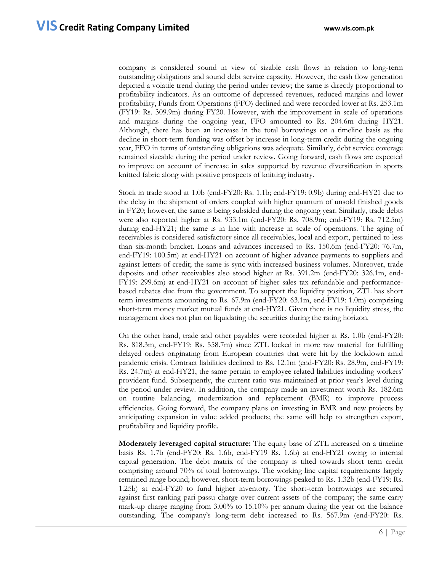company is considered sound in view of sizable cash flows in relation to long-term outstanding obligations and sound debt service capacity. However, the cash flow generation depicted a volatile trend during the period under review; the same is directly proportional to profitability indicators. As an outcome of depressed revenues, reduced margins and lower profitability, Funds from Operations (FFO) declined and were recorded lower at Rs. 253.1m (FY19: Rs. 309.9m) during FY20. However, with the improvement in scale of operations and margins during the ongoing year, FFO amounted to Rs. 204.6m during HY21. Although, there has been an increase in the total borrowings on a timeline basis as the decline in short-term funding was offset by increase in long-term credit during the ongoing year, FFO in terms of outstanding obligations was adequate. Similarly, debt service coverage remained sizeable during the period under review. Going forward, cash flows are expected to improve on account of increase in sales supported by revenue diversification in sports knitted fabric along with positive prospects of knitting industry.

Stock in trade stood at 1.0b (end-FY20: Rs. 1.1b; end-FY19: 0.9b) during end-HY21 due to the delay in the shipment of orders coupled with higher quantum of unsold finished goods in FY20; however, the same is being subsided during the ongoing year. Similarly, trade debts were also reported higher at Rs. 933.1m (end-FY20: Rs. 708.9m; end-FY19: Rs. 712.5m) during end-HY21; the same is in line with increase in scale of operations. The aging of receivables is considered satisfactory since all receivables, local and export, pertained to less than six-month bracket. Loans and advances increased to Rs. 150.6m (end-FY20: 76.7m, end-FY19: 100.5m) at end-HY21 on account of higher advance payments to suppliers and against letters of credit; the same is sync with increased business volumes. Moreover, trade deposits and other receivables also stood higher at Rs. 391.2m (end-FY20: 326.1m, end-FY19: 299.6m) at end-HY21 on account of higher sales tax refundable and performancebased rebates due from the government. To support the liquidity position, ZTL has short term investments amounting to Rs. 67.9m (end-FY20: 63.1m, end-FY19: 1.0m) comprising short-term money market mutual funds at end-HY21. Given there is no liquidity stress, the management does not plan on liquidating the securities during the rating horizon.

On the other hand, trade and other payables were recorded higher at Rs. 1.0b (end-FY20: Rs. 818.3m, end-FY19: Rs. 558.7m) since ZTL locked in more raw material for fulfilling delayed orders originating from European countries that were hit by the lockdown amid pandemic crisis. Contract liabilities declined to Rs. 12.1m (end-FY20: Rs. 28.9m, end-FY19: Rs. 24.7m) at end-HY21, the same pertain to employee related liabilities including workers' provident fund. Subsequently, the current ratio was maintained at prior year's level during the period under review. In addition, the company made an investment worth Rs. 182.6m on routine balancing, modernization and replacement (BMR) to improve process efficiencies. Going forward, the company plans on investing in BMR and new projects by anticipating expansion in value added products; the same will help to strengthen export, profitability and liquidity profile.

**Moderately leveraged capital structure:** The equity base of ZTL increased on a timeline basis Rs. 1.7b (end-FY20: Rs. 1.6b, end-FY19 Rs. 1.6b) at end-HY21 owing to internal capital generation. The debt matrix of the company is tilted towards short term credit comprising around 70% of total borrowings. The working line capital requirements largely remained range bound; however, short-term borrowings peaked to Rs. 1.32b (end-FY19: Rs. 1.25b) at end-FY20 to fund higher inventory. The short-term borrowings are secured against first ranking pari passu charge over current assets of the company; the same carry mark-up charge ranging from 3.00% to 15.10% per annum during the year on the balance outstanding. The company's long-term debt increased to Rs. 567.9m (end-FY20: Rs.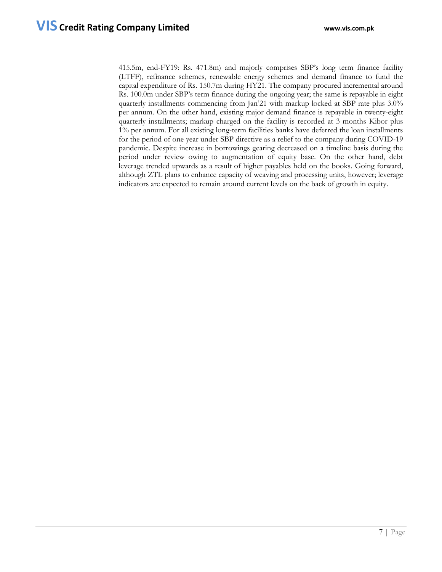415.5m, end-FY19: Rs. 471.8m) and majorly comprises SBP's long term finance facility (LTFF), refinance schemes, renewable energy schemes and demand finance to fund the capital expenditure of Rs. 150.7m during HY21. The company procured incremental around Rs. 100.0m under SBP's term finance during the ongoing year; the same is repayable in eight quarterly installments commencing from Jan'21 with markup locked at SBP rate plus 3.0% per annum. On the other hand, existing major demand finance is repayable in twenty-eight quarterly installments; markup charged on the facility is recorded at 3 months Kibor plus 1% per annum. For all existing long-term facilities banks have deferred the loan installments for the period of one year under SBP directive as a relief to the company during COVID-19 pandemic. Despite increase in borrowings gearing decreased on a timeline basis during the period under review owing to augmentation of equity base. On the other hand, debt leverage trended upwards as a result of higher payables held on the books. Going forward, although ZTL plans to enhance capacity of weaving and processing units, however; leverage indicators are expected to remain around current levels on the back of growth in equity.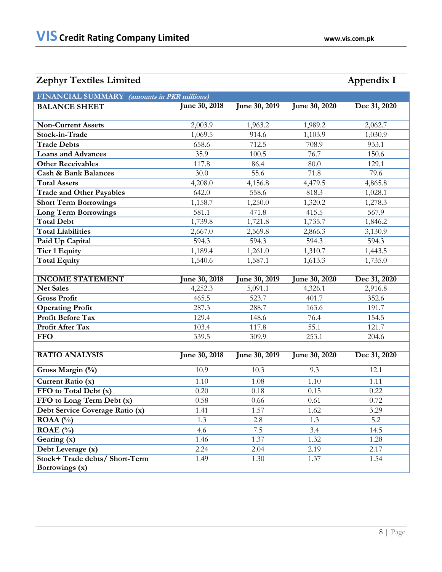## **Zephyr Textiles Limited Appendix I**

| EUPHYL TUALING EMILICA                                                           |                       |               |               | $\mu$          |  |  |
|----------------------------------------------------------------------------------|-----------------------|---------------|---------------|----------------|--|--|
| <b>FINANCIAL SUMMARY</b><br>(amounts in PKR millions)                            |                       |               |               |                |  |  |
| <b>BALANCE SHEET</b>                                                             | June 30, 2018         | June 30, 2019 | June 30, 2020 | Dec 31, 2020   |  |  |
| <b>Non-Current Assets</b>                                                        | 2,003.9               | 1,963.2       | 1,989.2       | 2,062.7        |  |  |
| Stock-in-Trade                                                                   | 1,069.5               | 914.6         | 1,103.9       | 1,030.9        |  |  |
| <b>Trade Debts</b>                                                               | 658.6                 | 712.5         | 708.9         | 933.1          |  |  |
| <b>Loans and Advances</b>                                                        | 35.9                  | 100.5         | 76.7          | 150.6          |  |  |
| <b>Other Receivables</b>                                                         | 117.8                 | 86.4          | 80.0          | 129.1          |  |  |
| <b>Cash &amp; Bank Balances</b>                                                  | 30.0                  | 55.6          | 71.8          | 79.6           |  |  |
| <b>Total Assets</b>                                                              | 4,208.0               | 4,156.8       | 4,479.5       | 4,865.8        |  |  |
| <b>Trade and Other Payables</b>                                                  | 642.0                 | 558.6         | 818.3         | 1,028.1        |  |  |
| <b>Short Term Borrowings</b>                                                     | 1,158.7               | 1,250.0       | 1,320.2       | 1,278.3        |  |  |
| $\mathbf{T}$ and $\mathbf{T}$ and $\mathbf{D}$ and $\mathbf{D}$ and $\mathbf{D}$ | $\Gamma$ $\Omega$ 1.1 | 1710          | 44F           | $F/T$ $\Omega$ |  |  |

| <b>Trade and Other Payables</b> | 642.0   | 558.6   | 818.3   | 1,028.1 |
|---------------------------------|---------|---------|---------|---------|
| <b>Short Term Borrowings</b>    | 1,158.7 | 1,250.0 | 1,320.2 | 1,278.3 |
| <b>Long Term Borrowings</b>     | 581.1   | 471.8   | 415.5   | 567.9   |
| <b>Total Debt</b>               | 1,739.8 | 1,721.8 | 1,735.7 | 1,846.2 |
| <b>Total Liabilities</b>        | 2,667.0 | 2,569.8 | 2,866.3 | 3,130.9 |
| Paid Up Capital                 | 594.3   | 594.3   | 594.3   | 594.3   |
| Tier 1 Equity                   | 1.189.4 | 1,261.0 | 1,310.7 | 1,443.5 |
| <b>Total Equity</b>             | 1,540.6 | 1,587.1 | 1,613.3 | 1,735.0 |

| <b>INCOME STATEMENT</b>  | <b>June 30, 2018</b> | June 30, $2\overline{019}$ | June 30, 2020 | Dec 31, 2020 |
|--------------------------|----------------------|----------------------------|---------------|--------------|
| <b>Net Sales</b>         | 4,252.3              | 5,091.1                    | 4,326.1       | 2,916.8      |
| <b>Gross Profit</b>      | 465.5                | 523.7                      | 401.7         | 352.6        |
| <b>Operating Profit</b>  | 287.3                | 288.7                      | 163.6         | 191.7        |
| <b>Profit Before Tax</b> | 129.4                | 148.6                      | 76.4          | 154.5        |
| <b>Profit After Tax</b>  | 103.4                | 117.8                      | 55.1          | 121.7        |
| <b>FFO</b>               | 339.5                | 309.9                      | 253.1         | 204.6        |

| <b>RATIO ANALYSIS</b>           | June 30, 2018 | June 30, 2019 | June 30, 2020 | Dec 31, 2020 |
|---------------------------------|---------------|---------------|---------------|--------------|
| Gross Margin $(\%)$             | 10.9          | 10.3          | 9.3           | 12.1         |
| Current Ratio (x)               | 1.10          | 1.08          | 1.10          | 1.11         |
| FFO to Total Debt (x)           | 0.20          | 0.18          | 0.15          | 0.22         |
| FFO to Long Term Debt (x)       | 0.58          | 0.66          | 0.61          | 0.72         |
| Debt Service Coverage Ratio (x) | 1.41          | 1.57          | 1.62          | 3.29         |
| $ROAA(^{0}_{0})$                | 1.3           | 2.8           | 1.3           | 5.2          |
| ROAE $(\%$                      | 4.6           | 7.5           | 3.4           | 14.5         |
| Gearing (x)                     | 1.46          | 1.37          | 1.32          | 1.28         |
| Debt Leverage (x)               | 2.24          | 2.04          | 2.19          | 2.17         |
| Stock+Trade debts/Short-Term    | 1.49          | 1.30          | 1.37          | 1.54         |
| Borrowings (x)                  |               |               |               |              |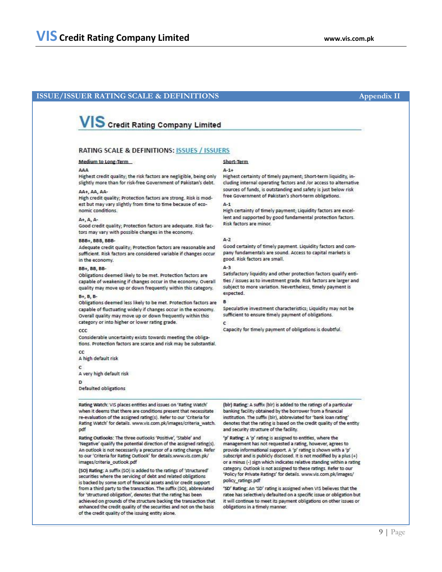### **ISSUE/ISSUER RATING SCALE & DEFINITIONS Appendix II**

## **VIS** Credit Rating Company Limited

#### RATING SCALE & DEFINITIONS: ISSUES / ISSUERS

#### Medium to Long-Term

#### 444

Highest credit quality; the risk factors are negligible, being only slightly more than for risk-free Government of Pakistan's debt.

#### AA+ AA AA-

High credit quality; Protection factors are strong. Risk is modest but may vary slightly from time to time because of economic conditions.

#### A+, A, A-

Good credit quality; Protection factors are adequate. Risk factors may vary with possible changes in the economy.

#### **BBB+, BBB, BBB**

Adequate credit quality; Protection factors are reasonable and sufficient. Risk factors are considered variable if changes occur in the economy.

#### **BB+ BB BB-**

Obligations deemed likely to be met. Protection factors are capable of weakening if changes occur in the economy. Overall quality may move up or down frequently within this category.

#### B+, B, B-

Obligations deemed less likely to be met. Protection factors are capable of fluctuating widely if changes occur in the economy. Overall quality may move up or down frequently within this category or into higher or lower rating grade.

#### ccc

Considerable uncertainty exists towards meeting the obligations. Protection factors are scarce and risk may be substantial.

A high default risk

 $\epsilon$ 

 $\alpha$ 

A very high default risk

#### Ð

Defaulted obligations

#### Rating Watch: VIS places entities and issues on 'Rating Watch' when it deems that there are conditions present that necessitate re-evaluation of the assigned rating(s). Refer to our 'Criteria for Rating Watch' for details. www.vis.com.pk/images/criteria\_watch. pdf

Rating Outlooks: The three outlooks 'Positive', 'Stable' and 'Negative' qualify the potential direction of the assigned rating(s). An outlook is not necessarily a precursor of a rating change. Refer to our 'Criteria for Rating Outlook' for details.www.vis.com.pk/ images/criteria\_outlook.pdf

(SO) Rating: A suffix (SO) is added to the ratings of 'structured' securities where the servicing of debt and related obligations is backed by some sort of financial assets and/or credit support from a third party to the transaction. The suffix (SO), abbreviated for 'structured obligation', denotes that the rating has been achieved on grounds of the structure backing the transaction that enhanced the credit quality of the securities and not on the basis of the credit quality of the issuing entity alone.

### Short-Term

#### $4 - 1 +$

Highest certainty of timely payment; Short-term liquidity, including internal operating factors and /or access to alternative sources of funds, is outstanding and safety is just below risk free Government of Pakistan's short-term obligations.

#### $A-1$

High certainty of timely payment; Liquidity factors are excellent and supported by good fundamental protection factors. Risk factors are minor.

#### $A-2$

Good certainty of timely payment. Liquidity factors and company fundamentals are sound. Access to capital markets is good. Risk factors are small.

#### $A - 3$

Satisfactory liquidity and other protection factors qualify entities / issues as to investment grade. Risk factors are larger and subject to more variation. Nevertheless, timely payment is expected.

#### B

Speculative investment characteristics; Liquidity may not be sufficient to ensure timely payment of obligations.

Capacity for timely payment of obligations is doubtful.

(blr) Rating: A suffix (blr) is added to the ratings of a particular banking facility obtained by the borrower from a financial institution. The suffix (bir), abbreviated for 'bank loan rating' denotes that the rating is based on the credit quality of the entity and security structure of the facility.

'p' Rating: A 'p' rating is assigned to entities, where the management has not requested a rating, however, agrees to provide informational support. A 'p' rating is shown with a 'p' subscript and is publicly disclosed. It is not modified by a plus (+) or a minus (-) sign which indicates relative standing within a rating category. Outlook is not assigned to these ratings. Refer to our 'Policy for Private Ratings' for details. www.vis.com.pk/images/ policy\_ratings.pdf

'SD' Rating: An 'SD' rating is assigned when VIS believes that the ratee has selectively defaulted on a specific issue or obligation but it will continue to meet its payment obligations on other issues or obligations in a timely manner.